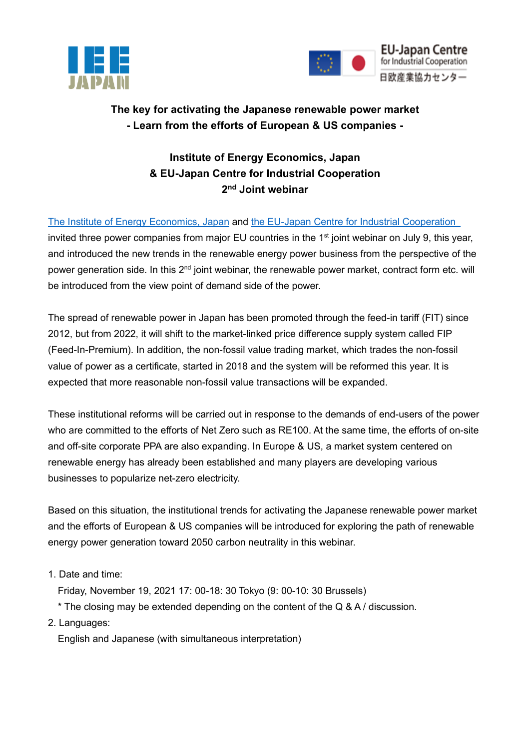



## **The key for activating the Japanese renewable power market - Learn from the efforts of European & US companies -**

## **Institute of Energy Economics, Japan & EU-Japan Centre for Industrial Cooperation 2 nd Joint webinar**

[The Institute of Energy Economics, Japan](https://eneken.ieej.or.jp/en/) and [the EU-Japan Centre for Industrial Cooperation](https://www.eu-japan.eu/) invited three power companies from major EU countries in the 1<sup>st</sup> joint webinar on July 9, this year, and introduced the new trends in the renewable energy power business from the perspective of the power generation side. In this 2<sup>nd</sup> joint webinar, the renewable power market, contract form etc. will be introduced from the view point of demand side of the power.

The spread of renewable power in Japan has been promoted through the feed-in tariff (FIT) since 2012, but from 2022, it will shift to the market-linked price difference supply system called FIP (Feed-In-Premium). In addition, the non-fossil value trading market, which trades the non-fossil value of power as a certificate, started in 2018 and the system will be reformed this year. It is expected that more reasonable non-fossil value transactions will be expanded.

These institutional reforms will be carried out in response to the demands of end-users of the power who are committed to the efforts of Net Zero such as RE100. At the same time, the efforts of on-site and off-site corporate PPA are also expanding. In Europe & US, a market system centered on renewable energy has already been established and many players are developing various businesses to popularize net-zero electricity.

Based on this situation, the institutional trends for activating the Japanese renewable power market and the efforts of European & US companies will be introduced for exploring the path of renewable energy power generation toward 2050 carbon neutrality in this webinar.

- 1. Date and time:
	- Friday, November 19, 2021 17: 00-18: 30 Tokyo (9: 00-10: 30 Brussels)
	- \* The closing may be extended depending on the content of the Q & A / discussion.
- 2. Languages:

English and Japanese (with simultaneous interpretation)